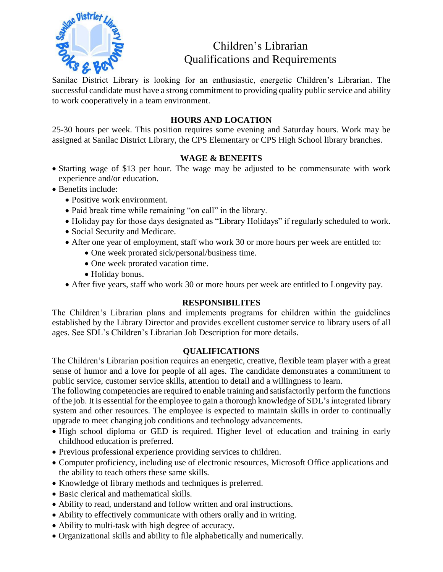

# Children's Librarian Qualifications and Requirements

Sanilac District Library is looking for an enthusiastic, energetic Children's Librarian. The successful candidate must have a strong commitment to providing quality public service and ability to work cooperatively in a team environment.

#### **HOURS AND LOCATION**

25-30 hours per week. This position requires some evening and Saturday hours. Work may be assigned at Sanilac District Library, the CPS Elementary or CPS High School library branches.

#### **WAGE & BENEFITS**

- Starting wage of \$13 per hour. The wage may be adjusted to be commensurate with work experience and/or education.
- Benefits include:
	- Positive work environment.
	- Paid break time while remaining "on call" in the library.
	- Holiday pay for those days designated as "Library Holidays" if regularly scheduled to work.
	- Social Security and Medicare.
	- After one year of employment, staff who work 30 or more hours per week are entitled to:
		- One week prorated sick/personal/business time.
		- One week prorated vacation time.
		- Holiday bonus.
	- After five years, staff who work 30 or more hours per week are entitled to Longevity pay.

#### **RESPONSIBILITES**

The Children's Librarian plans and implements programs for children within the guidelines established by the Library Director and provides excellent customer service to library users of all ages. See SDL's Children's Librarian Job Description for more details.

#### **QUALIFICATIONS**

The Children's Librarian position requires an energetic, creative, flexible team player with a great sense of humor and a love for people of all ages. The candidate demonstrates a commitment to public service, customer service skills, attention to detail and a willingness to learn.

The following competencies are required to enable training and satisfactorily perform the functions of the job. It is essential for the employee to gain a thorough knowledge of SDL's integrated library system and other resources. The employee is expected to maintain skills in order to continually upgrade to meet changing job conditions and technology advancements.

- High school diploma or GED is required. Higher level of education and training in early childhood education is preferred.
- Previous professional experience providing services to children.
- Computer proficiency, including use of electronic resources, Microsoft Office applications and the ability to teach others these same skills.
- Knowledge of library methods and techniques is preferred.
- Basic clerical and mathematical skills.
- Ability to read, understand and follow written and oral instructions.
- Ability to effectively communicate with others orally and in writing.
- Ability to multi-task with high degree of accuracy.
- Organizational skills and ability to file alphabetically and numerically.